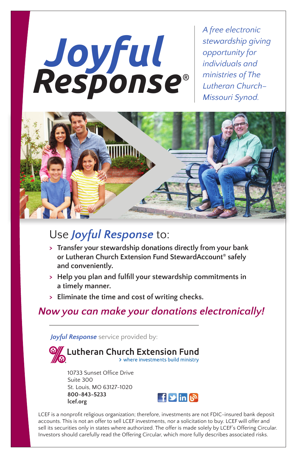# *Joyful Response* ®

*A free electronic stewardship giving opportunity for individuals and ministries of The Lutheran Church– Missouri Synod.*



## Use *Joyful Response* to:

- **> Transfer your stewardship donations directly from your bank or Lutheran Church Extension Fund StewardAccount® safely and conveniently.**
- **> Help you plan and fulfill your stewardship commitments in a timely manner.**
- **> Eliminate the time and cost of writing checks.**

### *Now you can make your donations electronically!*

*Joyful Response* service provided by:



10733 Sunset Office Drive Suite 300 St. Louis, MO 63127-1020 **800-843-5233 lcef.org**



LCEF is a nonprofit religious organization; therefore, investments are not FDIC-insured bank deposit accounts. This is not an offer to sell LCEF investments, nor a solicitation to buy. LCEF will offer and sell its securities only in states where authorized. The offer is made solely by LCEF's Offering Circular. Investors should carefully read the Offering Circular, which more fully describes associated risks.